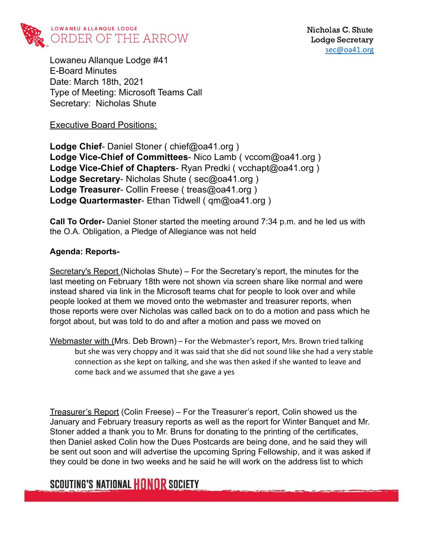

Lowaneu Allanque Lodge #41 E-Board Minutes Date: March 18th, 2021 Type of Meeting: Microsoft Teams Call Secretary: Nicholas Shute

Executive Board Positions:

**Lodge Chief**- Daniel Stoner ( chief@oa41.org ) **Lodge Vice-Chief of Committees**- Nico Lamb ( vccom@oa41.org ) **Lodge Vice-Chief of Chapters**- Ryan Predki ( vcchapt@oa41.org ) **Lodge Secretary**- Nicholas Shute ( sec@oa41.org ) **Lodge Treasurer**- Collin Freese ( treas@oa41.org ) **Lodge Quartermaster**- Ethan Tidwell ( qm@oa41.org )

**Call To Order-** Daniel Stoner started the meeting around 7:34 p.m. and he led us with the O.A. Obligation, a Pledge of Allegiance was not held

#### **Agenda: Reports-**

Secretary's Report (Nicholas Shute) – For the Secretary's report, the minutes for the last meeting on February 18th were not shown via screen share like normal and were instead shared via link in the Microsoft teams chat for people to look over and while people looked at them we moved onto the webmaster and treasurer reports, when those reports were over Nicholas was called back on to do a motion and pass which he forgot about, but was told to do and after a motion and pass we moved on

Webmaster with (Mrs. Deb Brown) – For the Webmaster's report, Mrs. Brown tried talking but she was very choppy and it was said that she did not sound like she had a very stable connection as she kept on talking, and she was then asked if she wanted to leave and come back and we assumed that she gave a yes

Treasurer's Report (Colin Freese) – For the Treasurer's report, Colin showed us the January and February treasury reports as well as the report for Winter Banquet and Mr. Stoner added a thank you to Mr. Bruns for donating to the printing of the certificates, then Daniel asked Colin how the Dues Postcards are being done, and he said they will be sent out soon and will advertise the upcoming Spring Fellowship, and it was asked if they could be done in two weeks and he said he will work on the address list to which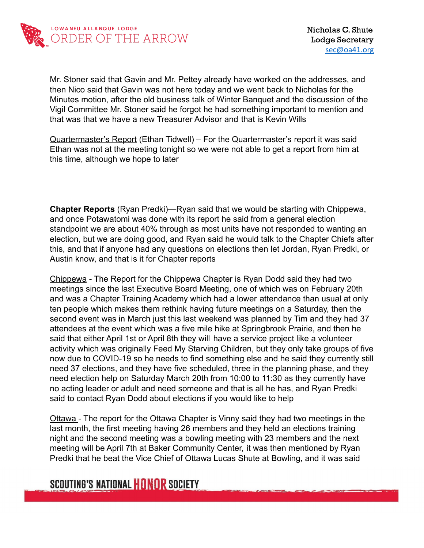

Mr. Stoner said that Gavin and Mr. Pettey already have worked on the addresses, and then Nico said that Gavin was not here today and we went back to Nicholas for the Minutes motion, after the old business talk of Winter Banquet and the discussion of the Vigil Committee Mr. Stoner said he forgot he had something important to mention and that was that we have a new Treasurer Advisor and that is Kevin Wills

Quartermaster's Report (Ethan Tidwell) – For the Quartermaster's report it was said Ethan was not at the meeting tonight so we were not able to get a report from him at this time, although we hope to later

**Chapter Reports** (Ryan Predki)—Ryan said that we would be starting with Chippewa, and once Potawatomi was done with its report he said from a general election standpoint we are about 40% through as most units have not responded to wanting an election, but we are doing good, and Ryan said he would talk to the Chapter Chiefs after this, and that if anyone had any questions on elections then let Jordan, Ryan Predki, or Austin know, and that is it for Chapter reports

Chippewa - The Report for the Chippewa Chapter is Ryan Dodd said they had two meetings since the last Executive Board Meeting, one of which was on February 20th and was a Chapter Training Academy which had a lower attendance than usual at only ten people which makes them rethink having future meetings on a Saturday, then the second event was in March just this last weekend was planned by Tim and they had 37 attendees at the event which was a five mile hike at Springbrook Prairie, and then he said that either April 1st or April 8th they will have a service project like a volunteer activity which was originally Feed My Starving Children, but they only take groups of five now due to COVID-19 so he needs to find something else and he said they currently still need 37 elections, and they have five scheduled, three in the planning phase, and they need election help on Saturday March 20th from 10:00 to 11:30 as they currently have no acting leader or adult and need someone and that is all he has, and Ryan Predki said to contact Ryan Dodd about elections if you would like to help

Ottawa - The report for the Ottawa Chapter is Vinny said they had two meetings in the last month, the first meeting having 26 members and they held an elections training night and the second meeting was a bowling meeting with 23 members and the next meeting will be April 7th at Baker Community Center, it was then mentioned by Ryan Predki that he beat the Vice Chief of Ottawa Lucas Shute at Bowling, and it was said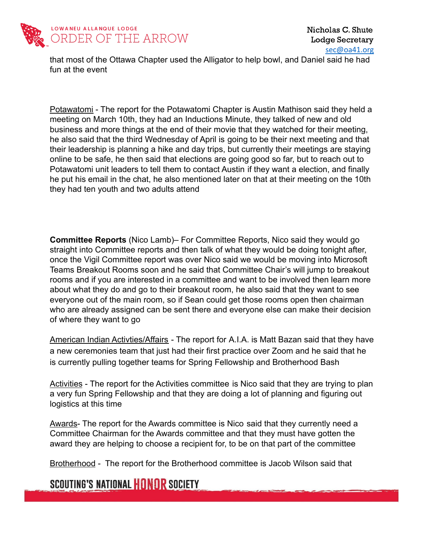

that most of the Ottawa Chapter used the Alligator to help bowl, and Daniel said he had fun at the event

Potawatomi - The report for the Potawatomi Chapter is Austin Mathison said they held a meeting on March 10th, they had an Inductions Minute, they talked of new and old business and more things at the end of their movie that they watched for their meeting, he also said that the third Wednesday of April is going to be their next meeting and that their leadership is planning a hike and day trips, but currently their meetings are staying online to be safe, he then said that elections are going good so far, but to reach out to Potawatomi unit leaders to tell them to contact Austin if they want a election, and finally he put his email in the chat, he also mentioned later on that at their meeting on the 10th they had ten youth and two adults attend

**Committee Reports** (Nico Lamb)– For Committee Reports, Nico said they would go straight into Committee reports and then talk of what they would be doing tonight after, once the Vigil Committee report was over Nico said we would be moving into Microsoft Teams Breakout Rooms soon and he said that Committee Chair's will jump to breakout rooms and if you are interested in a committee and want to be involved then learn more about what they do and go to their breakout room, he also said that they want to see everyone out of the main room, so if Sean could get those rooms open then chairman who are already assigned can be sent there and everyone else can make their decision of where they want to go

American Indian Activties/Affairs - The report for A.I.A. is Matt Bazan said that they have a new ceremonies team that just had their first practice over Zoom and he said that he is currently pulling together teams for Spring Fellowship and Brotherhood Bash

Activities - The report for the Activities committee is Nico said that they are trying to plan a very fun Spring Fellowship and that they are doing a lot of planning and figuring out logistics at this time

Awards- The report for the Awards committee is Nico said that they currently need a Committee Chairman for the Awards committee and that they must have gotten the award they are helping to choose a recipient for, to be on that part of the committee

Brotherhood - The report for the Brotherhood committee is Jacob Wilson said that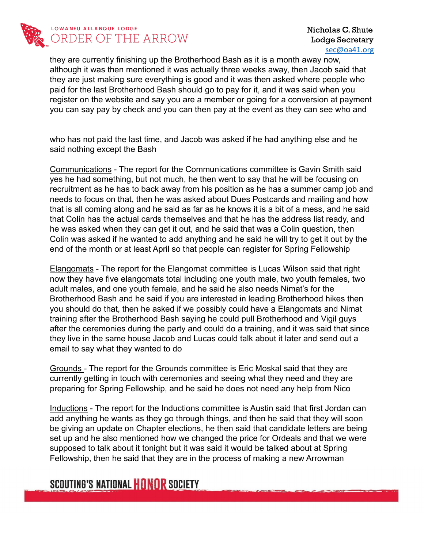

#### LOWANEU ALLANQUE LODGE ORDER OF THE ARROW

Nicholas C. Shute Lodge Secretary [sec@oa41.org](mailto:sec@oa41.org)

they are currently finishing up the Brotherhood Bash as it is a month away now, although it was then mentioned it was actually three weeks away, then Jacob said that they are just making sure everything is good and it was then asked where people who paid for the last Brotherhood Bash should go to pay for it, and it was said when you register on the website and say you are a member or going for a conversion at payment you can say pay by check and you can then pay at the event as they can see who and

who has not paid the last time, and Jacob was asked if he had anything else and he said nothing except the Bash

Communications - The report for the Communications committee is Gavin Smith said yes he had something, but not much, he then went to say that he will be focusing on recruitment as he has to back away from his position as he has a summer camp job and needs to focus on that, then he was asked about Dues Postcards and mailing and how that is all coming along and he said as far as he knows it is a bit of a mess, and he said that Colin has the actual cards themselves and that he has the address list ready, and he was asked when they can get it out, and he said that was a Colin question, then Colin was asked if he wanted to add anything and he said he will try to get it out by the end of the month or at least April so that people can register for Spring Fellowship

Elangomats - The report for the Elangomat committee is Lucas Wilson said that right now they have five elangomats total including one youth male, two youth females, two adult males, and one youth female, and he said he also needs Nimat's for the Brotherhood Bash and he said if you are interested in leading Brotherhood hikes then you should do that, then he asked if we possibly could have a Elangomats and Nimat training after the Brotherhood Bash saying he could pull Brotherhood and Vigil guys after the ceremonies during the party and could do a training, and it was said that since they live in the same house Jacob and Lucas could talk about it later and send out a email to say what they wanted to do

Grounds - The report for the Grounds committee is Eric Moskal said that they are currently getting in touch with ceremonies and seeing what they need and they are preparing for Spring Fellowship, and he said he does not need any help from Nico

Inductions - The report for the Inductions committee is Austin said that first Jordan can add anything he wants as they go through things, and then he said that they will soon be giving an update on Chapter elections, he then said that candidate letters are being set up and he also mentioned how we changed the price for Ordeals and that we were supposed to talk about it tonight but it was said it would be talked about at Spring Fellowship, then he said that they are in the process of making a new Arrowman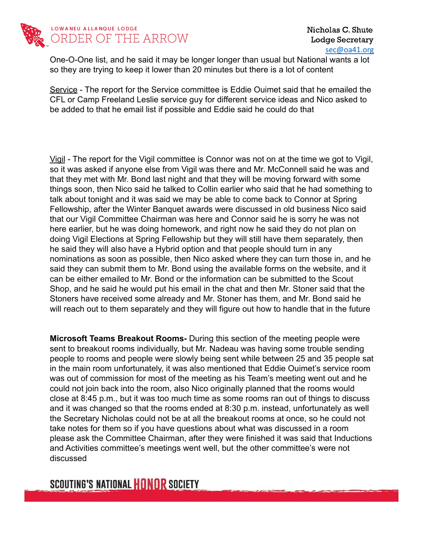

One-O-One list, and he said it may be longer longer than usual but National wants a lot so they are trying to keep it lower than 20 minutes but there is a lot of content

Service - The report for the Service committee is Eddie Ouimet said that he emailed the CFL or Camp Freeland Leslie service guy for different service ideas and Nico asked to be added to that he email list if possible and Eddie said he could do that

Vigil - The report for the Vigil committee is Connor was not on at the time we got to Vigil, so it was asked if anyone else from Vigil was there and Mr. McConnell said he was and that they met with Mr. Bond last night and that they will be moving forward with some things soon, then Nico said he talked to Collin earlier who said that he had something to talk about tonight and it was said we may be able to come back to Connor at Spring Fellowship, after the Winter Banquet awards were discussed in old business Nico said that our Vigil Committee Chairman was here and Connor said he is sorry he was not here earlier, but he was doing homework, and right now he said they do not plan on doing Vigil Elections at Spring Fellowship but they will still have them separately, then he said they will also have a Hybrid option and that people should turn in any nominations as soon as possible, then Nico asked where they can turn those in, and he said they can submit them to Mr. Bond using the available forms on the website, and it can be either emailed to Mr. Bond or the information can be submitted to the Scout Shop, and he said he would put his email in the chat and then Mr. Stoner said that the Stoners have received some already and Mr. Stoner has them, and Mr. Bond said he will reach out to them separately and they will figure out how to handle that in the future

**Microsoft Teams Breakout Rooms-** During this section of the meeting people were sent to breakout rooms individually, but Mr. Nadeau was having some trouble sending people to rooms and people were slowly being sent while between 25 and 35 people sat in the main room unfortunately, it was also mentioned that Eddie Ouimet's service room was out of commission for most of the meeting as his Team's meeting went out and he could not join back into the room, also Nico originally planned that the rooms would close at 8:45 p.m., but it was too much time as some rooms ran out of things to discuss and it was changed so that the rooms ended at 8:30 p.m. instead, unfortunately as well the Secretary Nicholas could not be at all the breakout rooms at once, so he could not take notes for them so if you have questions about what was discussed in a room please ask the Committee Chairman, after they were finished it was said that Inductions and Activities committee's meetings went well, but the other committee's were not discussed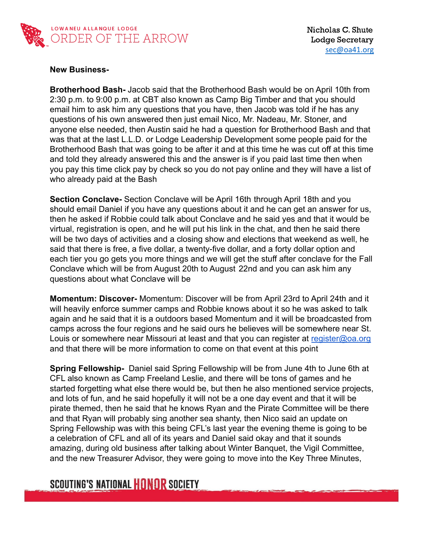

#### **New Business-**

**Brotherhood Bash-** Jacob said that the Brotherhood Bash would be on April 10th from 2:30 p.m. to 9:00 p.m. at CBT also known as Camp Big Timber and that you should email him to ask him any questions that you have, then Jacob was told if he has any questions of his own answered then just email Nico, Mr. Nadeau, Mr. Stoner, and anyone else needed, then Austin said he had a question for Brotherhood Bash and that was that at the last L.L.D. or Lodge Leadership Development some people paid for the Brotherhood Bash that was going to be after it and at this time he was cut off at this time and told they already answered this and the answer is if you paid last time then when you pay this time click pay by check so you do not pay online and they will have a list of who already paid at the Bash

**Section Conclave-** Section Conclave will be April 16th through April 18th and you should email Daniel if you have any questions about it and he can get an answer for us, then he asked if Robbie could talk about Conclave and he said yes and that it would be virtual, registration is open, and he will put his link in the chat, and then he said there will be two days of activities and a closing show and elections that weekend as well, he said that there is free, a five dollar, a twenty-five dollar, and a forty dollar option and each tier you go gets you more things and we will get the stuff after conclave for the Fall Conclave which will be from August 20th to August 22nd and you can ask him any questions about what Conclave will be

**Momentum: Discover-** Momentum: Discover will be from April 23rd to April 24th and it will heavily enforce summer camps and Robbie knows about it so he was asked to talk again and he said that it is a outdoors based Momentum and it will be broadcasted from camps across the four regions and he said ours he believes will be somewhere near St. Louis or somewhere near Missouri at least and that you can register at [register@oa.org](mailto:register@oa.org) and that there will be more information to come on that event at this point

**Spring Fellowship-** Daniel said Spring Fellowship will be from June 4th to June 6th at CFL also known as Camp Freeland Leslie, and there will be tons of games and he started forgetting what else there would be, but then he also mentioned service projects, and lots of fun, and he said hopefully it will not be a one day event and that it will be pirate themed, then he said that he knows Ryan and the Pirate Committee will be there and that Ryan will probably sing another sea shanty, then Nico said an update on Spring Fellowship was with this being CFL's last year the evening theme is going to be a celebration of CFL and all of its years and Daniel said okay and that it sounds amazing, during old business after talking about Winter Banquet, the Vigil Committee, and the new Treasurer Advisor, they were going to move into the Key Three Minutes,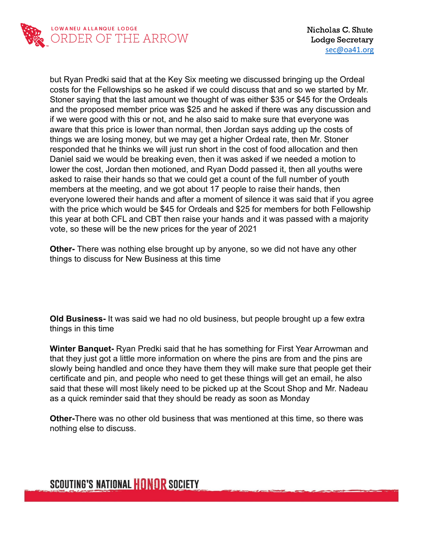

but Ryan Predki said that at the Key Six meeting we discussed bringing up the Ordeal costs for the Fellowships so he asked if we could discuss that and so we started by Mr. Stoner saying that the last amount we thought of was either \$35 or \$45 for the Ordeals and the proposed member price was \$25 and he asked if there was any discussion and if we were good with this or not, and he also said to make sure that everyone was aware that this price is lower than normal, then Jordan says adding up the costs of things we are losing money, but we may get a higher Ordeal rate, then Mr. Stoner responded that he thinks we will just run short in the cost of food allocation and then Daniel said we would be breaking even, then it was asked if we needed a motion to lower the cost, Jordan then motioned, and Ryan Dodd passed it, then all youths were asked to raise their hands so that we could get a count of the full number of youth members at the meeting, and we got about 17 people to raise their hands, then everyone lowered their hands and after a moment of silence it was said that if you agree with the price which would be \$45 for Ordeals and \$25 for members for both Fellowship this year at both CFL and CBT then raise your hands and it was passed with a majority vote, so these will be the new prices for the year of 2021

**Other-** There was nothing else brought up by anyone, so we did not have any other things to discuss for New Business at this time

**Old Business-** It was said we had no old business, but people brought up a few extra things in this time

**Winter Banquet-** Ryan Predki said that he has something for First Year Arrowman and that they just got a little more information on where the pins are from and the pins are slowly being handled and once they have them they will make sure that people get their certificate and pin, and people who need to get these things will get an email, he also said that these will most likely need to be picked up at the Scout Shop and Mr. Nadeau as a quick reminder said that they should be ready as soon as Monday

**Other-**There was no other old business that was mentioned at this time, so there was nothing else to discuss.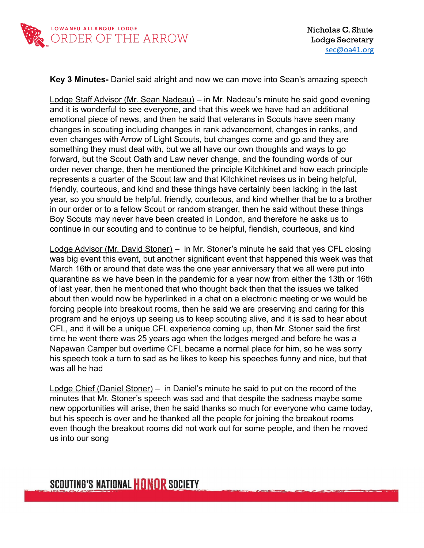

#### **Key 3 Minutes-** Daniel said alright and now we can move into Sean's amazing speech

Lodge Staff Advisor (Mr. Sean Nadeau) – in Mr. Nadeau's minute he said good evening and it is wonderful to see everyone, and that this week we have had an additional emotional piece of news, and then he said that veterans in Scouts have seen many changes in scouting including changes in rank advancement, changes in ranks, and even changes with Arrow of Light Scouts, but changes come and go and they are something they must deal with, but we all have our own thoughts and ways to go forward, but the Scout Oath and Law never change, and the founding words of our order never change, then he mentioned the principle Kitchkinet and how each principle represents a quarter of the Scout law and that Kitchkinet revises us in being helpful, friendly, courteous, and kind and these things have certainly been lacking in the last year, so you should be helpful, friendly, courteous, and kind whether that be to a brother in our order or to a fellow Scout or random stranger, then he said without these things Boy Scouts may never have been created in London, and therefore he asks us to continue in our scouting and to continue to be helpful, fiendish, courteous, and kind

Lodge Advisor (Mr. David Stoner) – in Mr. Stoner's minute he said that yes CFL closing was big event this event, but another significant event that happened this week was that March 16th or around that date was the one year anniversary that we all were put into quarantine as we have been in the pandemic for a year now from either the 13th or 16th of last year, then he mentioned that who thought back then that the issues we talked about then would now be hyperlinked in a chat on a electronic meeting or we would be forcing people into breakout rooms, then he said we are preserving and caring for this program and he enjoys up seeing us to keep scouting alive, and it is sad to hear about CFL, and it will be a unique CFL experience coming up, then Mr. Stoner said the first time he went there was 25 years ago when the lodges merged and before he was a Napawan Camper but overtime CFL became a normal place for him, so he was sorry his speech took a turn to sad as he likes to keep his speeches funny and nice, but that was all he had

Lodge Chief (Daniel Stoner) – in Daniel's minute he said to put on the record of the minutes that Mr. Stoner's speech was sad and that despite the sadness maybe some new opportunities will arise, then he said thanks so much for everyone who came today, but his speech is over and he thanked all the people for joining the breakout rooms even though the breakout rooms did not work out for some people, and then he moved us into our song